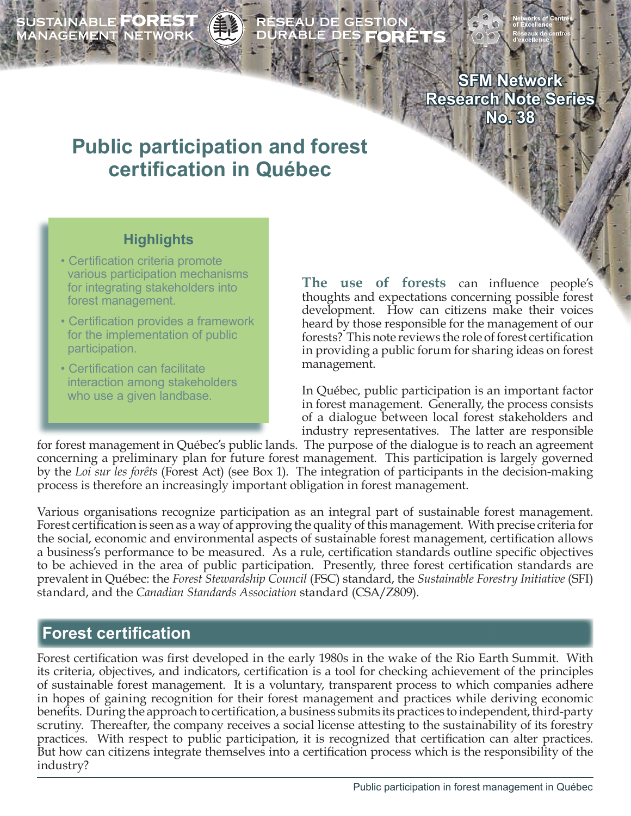SUSTAINABLE **FOREST**<br>MANAGEMENT NETWORK

# ÉSEAU DE GESTION<br>URABLE DES **FORÊT**!

**SFM Network Research Note Series No. 38**

# **Public participation and forest certification in Québec**

## **Highlights**

- Certification criteria promote various participation mechanisms for integrating stakeholders into forest management.
- Certification provides a framework for the implementation of public participation.
- Certification can facilitate interaction among stakeholders who use a given landbase.

**The use of forests** can influence people's thoughts and expectations concerning possible forest development. How can citizens make their voices heard by those responsible for the management of our forests? This note reviews the role of forest certification in providing a public forum for sharing ideas on forest management.

In Québec, public participation is an important factor in forest management. Generally, the process consists of a dialogue between local forest stakeholders and industry representatives. The latter are responsible

for forest management in Québec's public lands. The purpose of the dialogue is to reach an agreement concerning a preliminary plan for future forest management. This participation is largely governed by the *Loi sur les forêts* (Forest Act) (see Box 1). The integration of participants in the decision-making process is therefore an increasingly important obligation in forest management.

Various organisations recognize participation as an integral part of sustainable forest management. Forest certification is seen as a way of approving the quality of this management. With precise criteria for the social, economic and environmental aspects of sustainable forest management, certification allows a business's performance to be measured. As a rule, certification standards outline specific objectives to be achieved in the area of public participation. Presently, three forest certification standards are prevalent in Québec: the *Forest Stewardship Council* (FSC) standard, the *Sustainable Forestry Initiative* (SFI) standard, and the *Canadian Standards Association* standard (CSA/Z809).

# **Forest certification**

Forest certification was first developed in the early 1980s in the wake of the Rio Earth Summit. With its criteria, objectives, and indicators, certification is a tool for checking achievement of the principles of sustainable forest management. It is a voluntary, transparent process to which companies adhere in hopes of gaining recognition for their forest management and practices while deriving economic benefits. During the approach to certification, a business submits its practices to independent, third-party scrutiny. Thereafter, the company receives a social license attesting to the sustainability of its forestry practices. With respect to public participation, it is recognized that certification can alter practices. But how can citizens integrate themselves into a certification process which is the responsibility of the industry?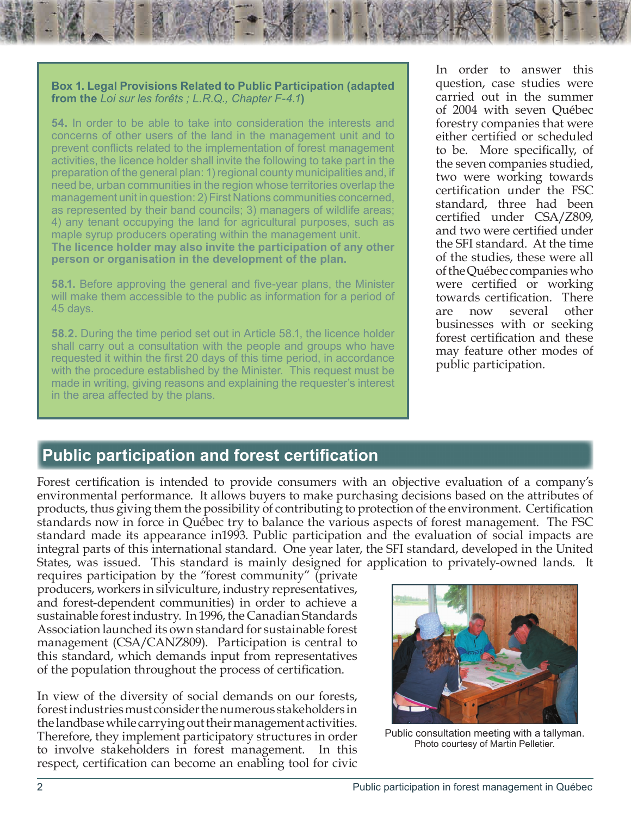#### **Box 1. Legal Provisions Related to Public Participation (adapted from the** *Loi sur les forêts ; L.R.Q., Chapter F-4.1***)**

**54.** In order to be able to take into consideration the interests and concerns of other users of the land in the management unit and to prevent conflicts related to the implementation of forest management activities, the licence holder shall invite the following to take part in the preparation of the general plan: 1) regional county municipalities and, if need be, urban communities in the region whose territories overlap the management unit in question: 2) First Nations communities concerned, as represented by their band councils; 3) managers of wildlife areas; 4) any tenant occupying the land for agricultural purposes, such as maple syrup producers operating within the management unit. **The licence holder may also invite the participation of any other person or organisation in the development of the plan.** 

**58.1.** Before approving the general and five-year plans, the Minister will make them accessible to the public as information for a period of 45 days.

**58.2.** During the time period set out in Article 58.1, the licence holder shall carry out a consultation with the people and groups who have requested it within the first 20 days of this time period, in accordance with the procedure established by the Minister. This request must be made in writing, giving reasons and explaining the requester's interest in the area affected by the plans.

In order to answer this question, case studies were carried out in the summer of 2004 with seven Québec forestry companies that were either certified or scheduled to be. More specifically, of the seven companies studied, two were working towards certification under the FSC standard, three had been certified under CSA/Z809, and two were certified under the SFI standard. At the time of the studies, these were all of the Québec companies who were certified or working towards certification. There are now several other businesses with or seeking forest certification and these may feature other modes of public participation.

# **Public participation and forest certification**

Forest certification is intended to provide consumers with an objective evaluation of a company's environmental performance. It allows buyers to make purchasing decisions based on the attributes of products, thus giving them the possibility of contributing to protection of the environment. Certification standards now in force in Québec try to balance the various aspects of forest management. The FSC standard made its appearance in1993. Public participation and the evaluation of social impacts are integral parts of this international standard. One year later, the SFI standard, developed in the United States, was issued. This standard is mainly designed for application to privately-owned lands. It

requires participation by the "forest community" (private producers, workers in silviculture, industry representatives, and forest-dependent communities) in order to achieve a sustainable forest industry. In 1996, the Canadian Standards Association launched its own standard for sustainable forest management (CSA/CANZ809). Participation is central to this standard, which demands input from representatives of the population throughout the process of certification.

In view of the diversity of social demands on our forests, forest industries must consider the numerous stakeholders in the landbase while carrying out their management activities. Therefore, they implement participatory structures in order to involve stakeholders in forest management. In this respect, certification can become an enabling tool for civic



Public consultation meeting with a tallyman. Photo courtesy of Martin Pelletier.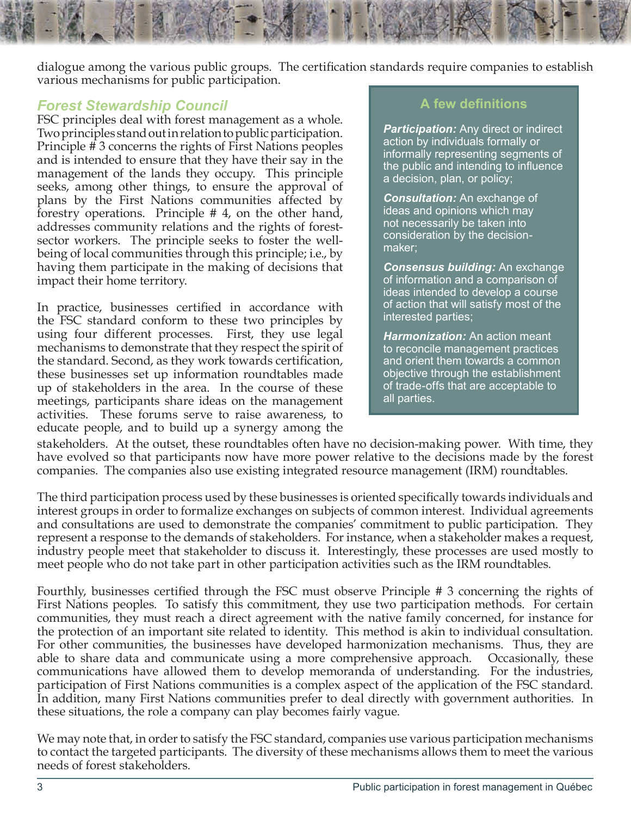dialogue among the various public groups. The certification standards require companies to establish various mechanisms for public participation.

#### *Forest Stewardship Council*

FSC principles deal with forest management as a whole. Two principles stand out in relation to public participation. Principle # 3 concerns the rights of First Nations peoples and is intended to ensure that they have their say in the management of the lands they occupy. This principle seeks, among other things, to ensure the approval of plans by the First Nations communities affected by forestry operations. Principle # 4, on the other hand, addresses community relations and the rights of forestsector workers. The principle seeks to foster the wellbeing of local communities through this principle; i.e., by having them participate in the making of decisions that impact their home territory.

In practice, businesses certified in accordance with the FSC standard conform to these two principles by using four different processes. First, they use legal mechanisms to demonstrate that they respect the spirit of the standard. Second, as they work towards certification, these businesses set up information roundtables made up of stakeholders in the area. In the course of these meetings, participants share ideas on the management activities. These forums serve to raise awareness, to educate people, and to build up a synergy among the

#### **A few definitions**

*Participation:* Any direct or indirect action by individuals formally or informally representing segments of the public and intending to influence a decision, plan, or policy;

*Consultation:* An exchange of ideas and opinions which may not necessarily be taken into consideration by the decisionmaker;

*Consensus building:* An exchange of information and a comparison of ideas intended to develop a course of action that will satisfy most of the interested parties;

*Harmonization:* An action meant to reconcile management practices and orient them towards a common objective through the establishment of trade-offs that are acceptable to all parties.

stakeholders. At the outset, these roundtables often have no decision-making power. With time, they have evolved so that participants now have more power relative to the decisions made by the forest companies. The companies also use existing integrated resource management (IRM) roundtables.

The third participation process used by these businesses is oriented specifically towards individuals and interest groups in order to formalize exchanges on subjects of common interest. Individual agreements and consultations are used to demonstrate the companies' commitment to public participation. They represent a response to the demands of stakeholders. For instance, when a stakeholder makes a request, industry people meet that stakeholder to discuss it. Interestingly, these processes are used mostly to meet people who do not take part in other participation activities such as the IRM roundtables.

Fourthly, businesses certified through the FSC must observe Principle # 3 concerning the rights of First Nations peoples. To satisfy this commitment, they use two participation methods. For certain communities, they must reach a direct agreement with the native family concerned, for instance for the protection of an important site related to identity. This method is akin to individual consultation. For other communities, the businesses have developed harmonization mechanisms. Thus, they are able to share data and communicate using a more comprehensive approach. Occasionally, these communications have allowed them to develop memoranda of understanding. For the industries, participation of First Nations communities is a complex aspect of the application of the FSC standard. In addition, many First Nations communities prefer to deal directly with government authorities. In these situations, the role a company can play becomes fairly vague.

We may note that, in order to satisfy the FSC standard, companies use various participation mechanisms to contact the targeted participants. The diversity of these mechanisms allows them to meet the various needs of forest stakeholders.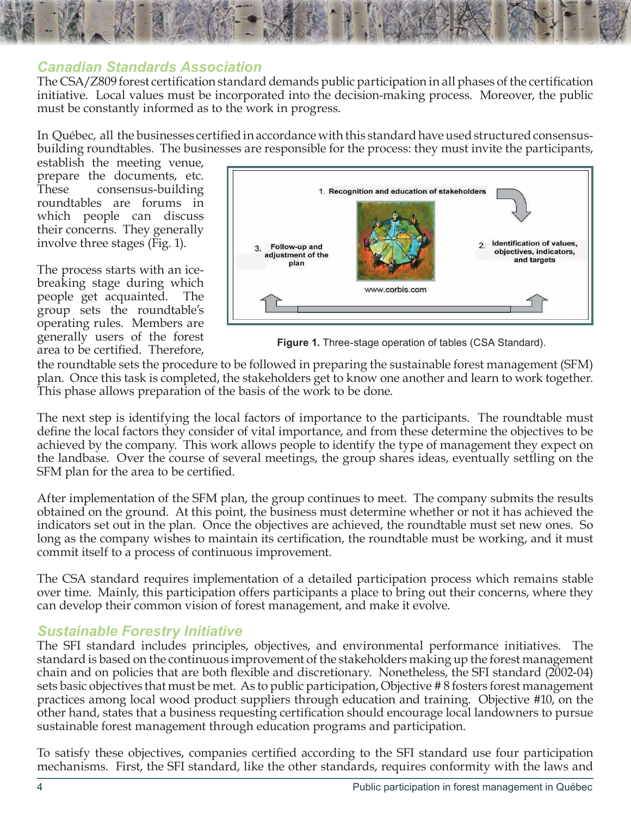

#### *Canadian Standards Association*

The CSA/Z809 forest certification standard demands public participation in all phases of the certification initiative. Local values must be incorporated into the decision-making process. Moreover, the public must be constantly informed as to the work in progress.

In Québec, all the businesses certified in accordance with this standard have used structured consensusbuilding roundtables. The businesses are responsible for the process: they must invite the participants,

establish the meeting venue, prepare the documents, etc. These consensus-building roundtables are forums in which people can discuss their concerns. They generally involve three stages (Fig. 1).

The process starts with an icebreaking stage during which people get acquainted. The group sets the roundtable's operating rules. Members are generally users of the forest area to be certified. Therefore, **Figure 1.** Three-stage operation of tables (CSA Standard).



the roundtable sets the procedure to be followed in preparing the sustainable forest management (SFM) plan. Once this task is completed, the stakeholders get to know one another and learn to work together. This phase allows preparation of the basis of the work to be done.

The next step is identifying the local factors of importance to the participants. The roundtable must define the local factors they consider of vital importance, and from these determine the objectives to be achieved by the company. This work allows people to identify the type of management they expect on the landbase. Over the course of several meetings, the group shares ideas, eventually settling on the SFM plan for the area to be certified.

After implementation of the SFM plan, the group continues to meet. The company submits the results obtained on the ground. At this point, the business must determine whether or not it has achieved the indicators set out in the plan. Once the objectives are achieved, the roundtable must set new ones. So long as the company wishes to maintain its certification, the roundtable must be working, and it must commit itself to a process of continuous improvement.

The CSA standard requires implementation of a detailed participation process which remains stable over time. Mainly, this participation offers participants a place to bring out their concerns, where they can develop their common vision of forest management, and make it evolve.

#### *Sustainable Forestry Initiative*

The SFI standard includes principles, objectives, and environmental performance initiatives. The standard is based on the continuous improvement of the stakeholders making up the forest management chain and on policies that are both flexible and discretionary. Nonetheless, the SFI standard (2002-04) sets basic objectives that must be met. As to public participation, Objective # 8 fosters forest management practices among local wood product suppliers through education and training. Objective #10, on the other hand, states that a business requesting certification should encourage local landowners to pursue sustainable forest management through education programs and participation.

To satisfy these objectives, companies certified according to the SFI standard use four participation mechanisms. First, the SFI standard, like the other standards, requires conformity with the laws and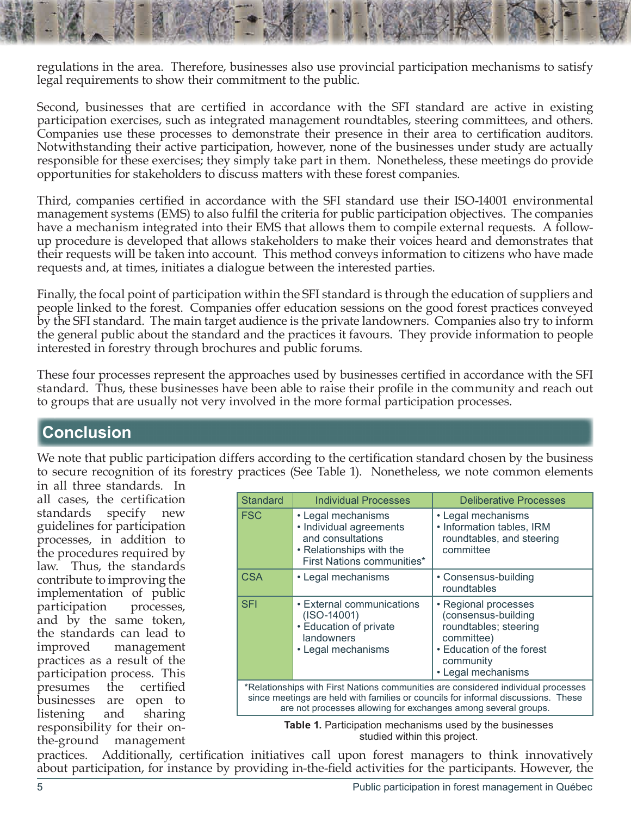regulations in the area. Therefore, businesses also use provincial participation mechanisms to satisfy legal requirements to show their commitment to the public.

Second, businesses that are certified in accordance with the SFI standard are active in existing participation exercises, such as integrated management roundtables, steering committees, and others. Companies use these processes to demonstrate their presence in their area to certification auditors. Notwithstanding their active participation, however, none of the businesses under study are actually responsible for these exercises; they simply take part in them. Nonetheless, these meetings do provide opportunities for stakeholders to discuss matters with these forest companies.

Third, companies certified in accordance with the SFI standard use their ISO-14001 environmental management systems (EMS) to also fulfil the criteria for public participation objectives. The companies have a mechanism integrated into their EMS that allows them to compile external requests. A followup procedure is developed that allows stakeholders to make their voices heard and demonstrates that their requests will be taken into account. This method conveys information to citizens who have made requests and, at times, initiates a dialogue between the interested parties.

Finally, the focal point of participation within the SFI standard is through the education of suppliers and people linked to the forest. Companies offer education sessions on the good forest practices conveyed by the SFI standard. The main target audience is the private landowners. Companies also try to inform the general public about the standard and the practices it favours. They provide information to people interested in forestry through brochures and public forums.

These four processes represent the approaches used by businesses certified in accordance with the SFI standard. Thus, these businesses have been able to raise their profile in the community and reach out to groups that are usually not very involved in the more formal participation processes.

# **Conclusion**

We note that public participation differs according to the certification standard chosen by the business to secure recognition of its forestry practices (See Table 1). Nonetheless, we note common elements

in all three standards. In all cases, the certification standards specify new guidelines for participation processes, in addition to the procedures required by law. Thus, the standards contribute to improving the implementation of public participation processes, and by the same token, the standards can lead to improved management practices as a result of the participation process. This presumes the certified businesses are open to listening and sharing responsibility for their onthe-ground management

| <b>Standard</b>                                                                                                                                                                                                                          | <b>Individual Processes</b>                                                                                                  | <b>Deliberative Processes</b>                                                                                                                      |
|------------------------------------------------------------------------------------------------------------------------------------------------------------------------------------------------------------------------------------------|------------------------------------------------------------------------------------------------------------------------------|----------------------------------------------------------------------------------------------------------------------------------------------------|
| <b>FSC</b>                                                                                                                                                                                                                               | • Legal mechanisms<br>• Individual agreements<br>and consultations<br>• Relationships with the<br>First Nations communities* | • Legal mechanisms<br>• Information tables, IRM<br>roundtables, and steering<br>committee                                                          |
| <b>CSA</b>                                                                                                                                                                                                                               | • Legal mechanisms                                                                                                           | • Consensus-building<br>roundtables                                                                                                                |
| <b>SFI</b>                                                                                                                                                                                                                               | • External communications<br>$(ISO-14001)$<br>• Education of private<br>landowners<br>• Legal mechanisms                     | • Regional processes<br>(consensus-building<br>roundtables; steering<br>committee)<br>• Education of the forest<br>community<br>• Legal mechanisms |
| *Relationships with First Nations communities are considered individual processes<br>since meetings are held with families or councils for informal discussions. These<br>are not processes allowing for exchanges among several groups. |                                                                                                                              |                                                                                                                                                    |

**Table 1.** Participation mechanisms used by the businesses studied within this project.

practices. Additionally, certification initiatives call upon forest managers to think innovatively about participation, for instance by providing in-the-field activities for the participants. However, the